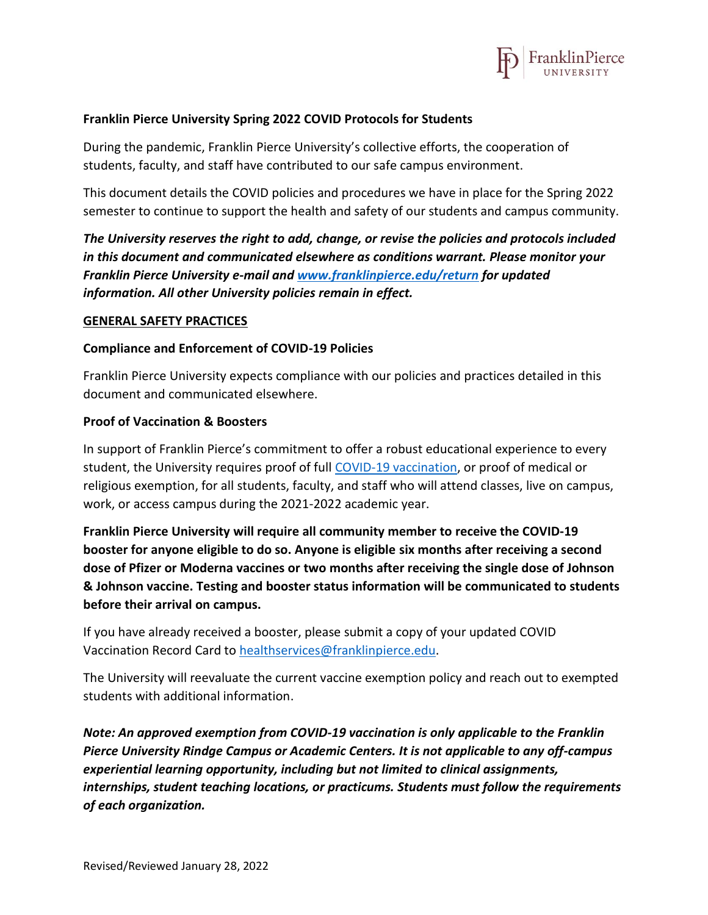

### **Franklin Pierce University Spring 2022 COVID Protocols for Students**

During the pandemic, Franklin Pierce University's collective efforts, the cooperation of students, faculty, and staff have contributed to our safe campus environment.

This document details the COVID policies and procedures we have in place for the Spring 2022 semester to continue to support the health and safety of our students and campus community.

*The University reserves the right to add, change, or revise the policies and protocols included in this document and communicated elsewhere as conditions warrant. Please monitor your Franklin Pierce University e-mail and [www.franklinpierce.edu/return](http://www.franklinpierce.edu/return) for updated information. All other University policies remain in effect.*

### **GENERAL SAFETY PRACTICES**

### **Compliance and Enforcement of COVID-19 Policies**

Franklin Pierce University expects compliance with our policies and practices detailed in this document and communicated elsewhere.

### **Proof of Vaccination & Boosters**

In support of Franklin Pierce's commitment to offer a robust educational experience to every student, the University requires proof of full [COVID-19 vaccination,](https://www.cdc.gov/coronavirus/2019-ncov/vaccines/stay-up-to-date.html?CDC_AA_refVal=https%3A%2F%2Fwww.cdc.gov%2Fcoronavirus%2F2019-ncov%2Fvaccines%2Ffully-vaccinated.html) or proof of medical or religious exemption, for all students, faculty, and staff who will attend classes, live on campus, work, or access campus during the 2021-2022 academic year.

**Franklin Pierce University will require all community member to receive the COVID-19 booster for anyone eligible to do so. Anyone is eligible six months after receiving a second dose of Pfizer or Moderna vaccines or two months after receiving the single dose of Johnson & Johnson vaccine. Testing and booster status information will be communicated to students before their arrival on campus.**

If you have already received a booster, please submit a copy of your updated COVID Vaccination Record Card to [healthservices@franklinpierce.edu.](mailto:healthservices@franklinpierce.edu)

The University will reevaluate the current vaccine exemption policy and reach out to exempted students with additional information.

*Note: An approved exemption from COVID-19 vaccination is only applicable to the Franklin Pierce University Rindge Campus or Academic Centers. It is not applicable to any off-campus experiential learning opportunity, including but not limited to clinical assignments, internships, student teaching locations, or practicums. Students must follow the requirements of each organization.*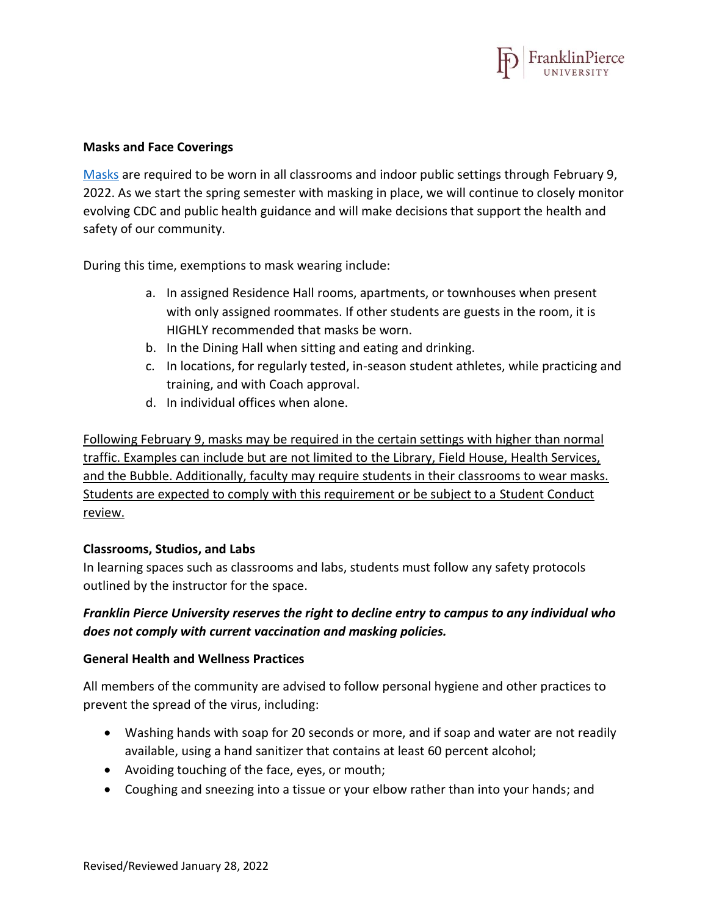

### **Masks and Face Coverings**

[Masks](https://www.cdc.gov/coronavirus/2019-ncov/prevent-getting-sick/about-face-coverings.html) are required to be worn in all classrooms and indoor public settings through February 9, 2022. As we start the spring semester with masking in place, we will continue to closely monitor evolving CDC and public health guidance and will make decisions that support the health and safety of our community.

During this time, exemptions to mask wearing include:

- a. In assigned Residence Hall rooms, apartments, or townhouses when present with only assigned roommates. If other students are guests in the room, it is HIGHLY recommended that masks be worn.
- b. In the Dining Hall when sitting and eating and drinking.
- c. In locations, for regularly tested, in-season student athletes, while practicing and training, and with Coach approval.
- d. In individual offices when alone.

Following February 9, masks may be required in the certain settings with higher than normal traffic. Examples can include but are not limited to the Library, Field House, Health Services, and the Bubble. Additionally, faculty may require students in their classrooms to wear masks. Students are expected to comply with this requirement or be subject to a Student Conduct review.

## **Classrooms, Studios, and Labs**

In learning spaces such as classrooms and labs, students must follow any safety protocols outlined by the instructor for the space.

# *Franklin Pierce University reserves the right to decline entry to campus to any individual who does not comply with current vaccination and masking policies.*

## **General Health and Wellness Practices**

All members of the community are advised to follow personal hygiene and other practices to prevent the spread of the virus, including:

- Washing hands with soap for 20 seconds or more, and if soap and water are not readily available, using a hand sanitizer that contains at least 60 percent alcohol;
- Avoiding touching of the face, eyes, or mouth;
- Coughing and sneezing into a tissue or your elbow rather than into your hands; and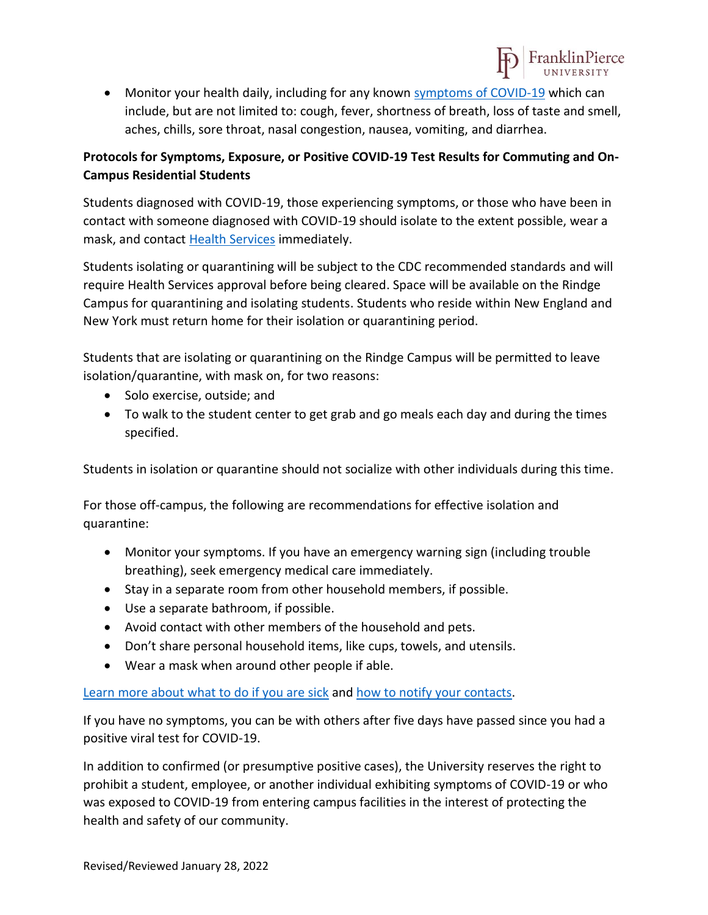

• Monitor your health daily, including for any known [symptoms of COVID-19](https://www.cdc.gov/coronavirus/2019-ncov/symptoms-testing/symptoms.html) which can include, but are not limited to: cough, fever, shortness of breath, loss of taste and smell, aches, chills, sore throat, nasal congestion, nausea, vomiting, and diarrhea.

# **Protocols for Symptoms, Exposure, or Positive COVID-19 Test Results for Commuting and On-Campus Residential Students**

Students diagnosed with COVID-19, those experiencing symptoms, or those who have been in contact with someone diagnosed with COVID-19 should isolate to the extent possible, wear a mask, and contact [Health Services](mailto:healthservices@franklinpierce.edu) immediately.

Students isolating or quarantining will be subject to the CDC recommended standards and will require Health Services approval before being cleared. Space will be available on the Rindge Campus for quarantining and isolating students. Students who reside within New England and New York must return home for their isolation or quarantining period.

Students that are isolating or quarantining on the Rindge Campus will be permitted to leave isolation/quarantine, with mask on, for two reasons:

- Solo exercise, outside; and
- To walk to the student center to get grab and go meals each day and during the times specified.

Students in isolation or quarantine should not socialize with other individuals during this time.

For those off-campus, the following are recommendations for effective isolation and quarantine:

- Monitor your symptoms. If you have an emergency warning sign (including trouble breathing), seek emergency medical care immediately.
- Stay in a separate room from other household members, if possible.
- Use a separate bathroom, if possible.
- Avoid contact with other members of the household and pets.
- Don't share personal household items, like cups, towels, and utensils.
- Wear a mask when around other people if able.

# [Learn more about what to do if you are sick](https://www.cdc.gov/coronavirus/2019-ncov/if-you-are-sick/steps-when-sick.html) and [how to notify your](https://www.cdc.gov/coronavirus/2019-ncov/daily-life-coping/contact-tracing.html) contacts.

If you have no symptoms, you can be with others after five days have passed since you had a positive viral test for COVID-19.

In addition to confirmed (or presumptive positive cases), the University reserves the right to prohibit a student, employee, or another individual exhibiting symptoms of COVID-19 or who was exposed to COVID-19 from entering campus facilities in the interest of protecting the health and safety of our community.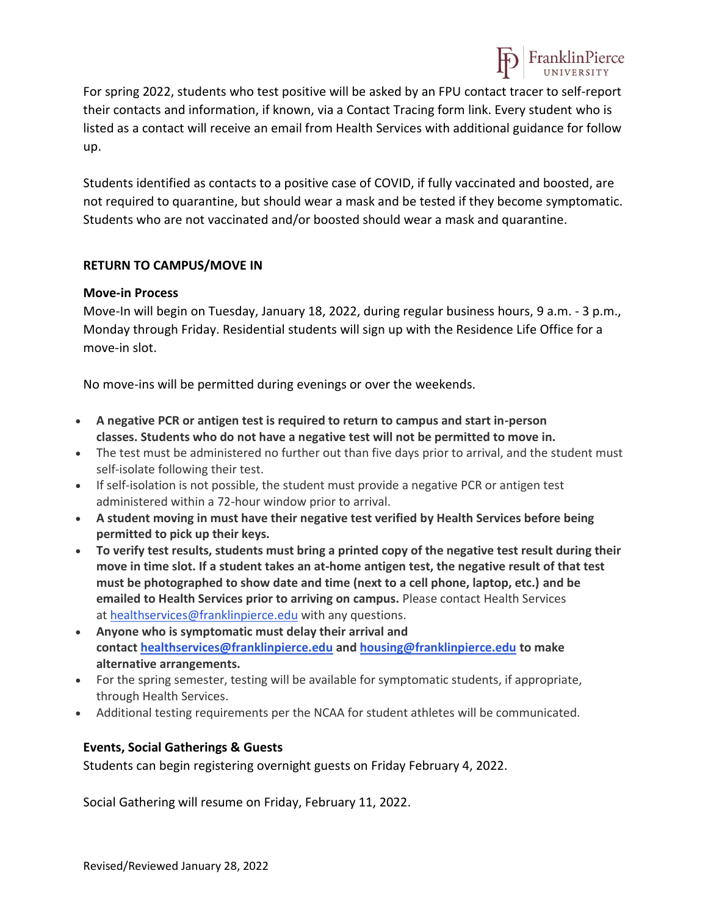

For spring 2022, students who test positive will be asked by an FPU contact tracer to self-report their contacts and information, if known, via a Contact Tracing form link. Every student who is listed as a contact will receive an email from Health Services with additional guidance for follow up.

Students identified as contacts to a positive case of COVID, if fully vaccinated and boosted, are not required to quarantine, but should wear a mask and be tested if they become symptomatic. Students who are not vaccinated and/or boosted should wear a mask and quarantine.

## **RETURN TO CAMPUS/MOVE IN**

## **Move-in Process**

Move-In will begin on Tuesday, January 18, 2022, during regular business hours, 9 a.m. - 3 p.m., Monday through Friday. Residential students will sign up with the Residence Life Office for a move-in slot.

No move-ins will be permitted during evenings or over the weekends.

- **A negative PCR or antigen test is required to return to campus and start in-person classes. Students who do not have a negative test will not be permitted to move in.**
- The test must be administered no further out than five days prior to arrival, and the student must self-isolate following their test.
- If self-isolation is not possible, the student must provide a negative PCR or antigen test administered within a 72-hour window prior to arrival.
- **A student moving in must have their negative test verified by Health Services before being permitted to pick up their keys.**
- **To verify test results, students must bring a printed copy of the negative test result during their move in time slot. If a student takes an at-home antigen test, the negative result of that test must be photographed to show date and time (next to a cell phone, laptop, etc.) and be emailed to Health Services prior to arriving on campus.** Please contact Health Services at [healthservices@franklinpierce.edu](mailto:healthservices@franklinpierce.edu) with any questions.
- **Anyone who is symptomatic must delay their arrival and contact [healthservices@franklinpierce.edu](mailto:healthservices@franklinpierce.edu) and [housing@franklinpierce.edu](mailto:housing@franklinpierce.edu) to make alternative arrangements.**
- For the spring semester, testing will be available for symptomatic students, if appropriate, through Health Services.
- Additional testing requirements per the NCAA for student athletes will be communicated.

## **Events, Social Gatherings & Guests**

Students can begin registering overnight guests on Friday February 4, 2022.

Social Gathering will resume on Friday, February 11, 2022.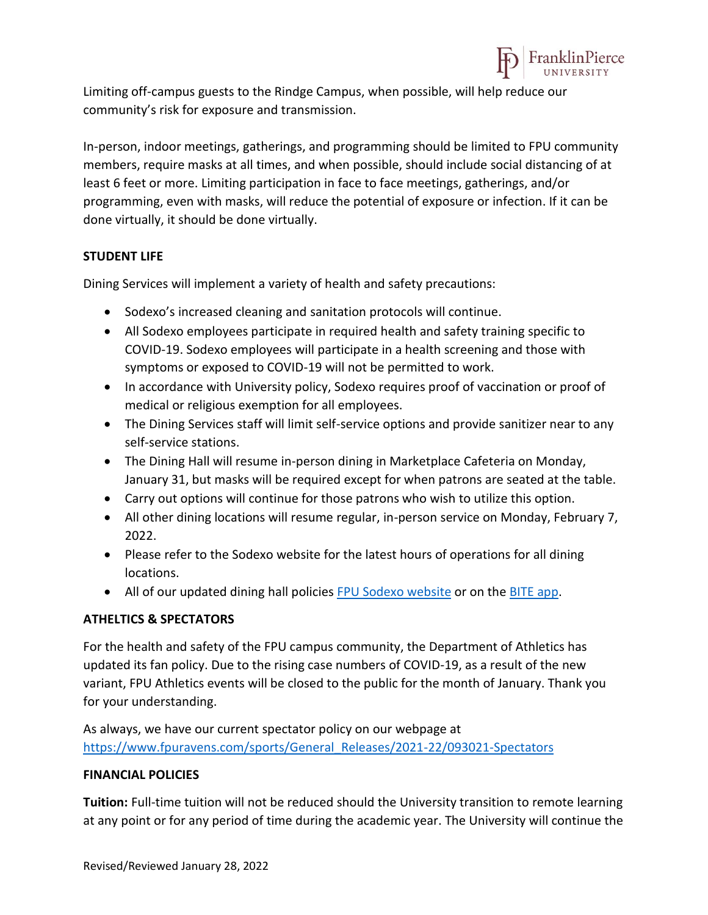

Limiting off-campus guests to the Rindge Campus, when possible, will help reduce our community's risk for exposure and transmission.

In-person, indoor meetings, gatherings, and programming should be limited to FPU community members, require masks at all times, and when possible, should include social distancing of at least 6 feet or more. Limiting participation in face to face meetings, gatherings, and/or programming, even with masks, will reduce the potential of exposure or infection. If it can be done virtually, it should be done virtually.

## **STUDENT LIFE**

Dining Services will implement a variety of health and safety precautions:

- Sodexo's increased cleaning and sanitation protocols will continue.
- All Sodexo employees participate in required health and safety training specific to COVID-19. Sodexo employees will participate in a health screening and those with symptoms or exposed to COVID-19 will not be permitted to work.
- In accordance with University policy, Sodexo requires proof of vaccination or proof of medical or religious exemption for all employees.
- The Dining Services staff will limit self-service options and provide sanitizer near to any self-service stations.
- The Dining Hall will resume in-person dining in Marketplace Cafeteria on Monday, January 31, but masks will be required except for when patrons are seated at the table.
- Carry out options will continue for those patrons who wish to utilize this option.
- All other dining locations will resume regular, in-person service on Monday, February 7, 2022.
- Please refer to the Sodexo website for the latest hours of operations for all dining locations.
- All of our updated dining hall policies [FPU Sodexo](https://fpu.sodexomyway.com/) website or on th[e BITE app.](https://bite.sodexo.com/)

## **ATHELTICS & SPECTATORS**

For the health and safety of the FPU campus community, the Department of Athletics has updated its fan policy. Due to the rising case numbers of COVID-19, as a result of the new variant, FPU Athletics events will be closed to the public for the month of January. Thank you for your understanding.

As always, we have our current spectator policy on our webpage at [https://www.fpuravens.com/sports/General\\_Releases/2021-22/093021-Spectators](https://www.fpuravens.com/sports/General_Releases/2021-22/093021-Spectators)

## **FINANCIAL POLICIES**

**Tuition:** Full-time tuition will not be reduced should the University transition to remote learning at any point or for any period of time during the academic year. The University will continue the